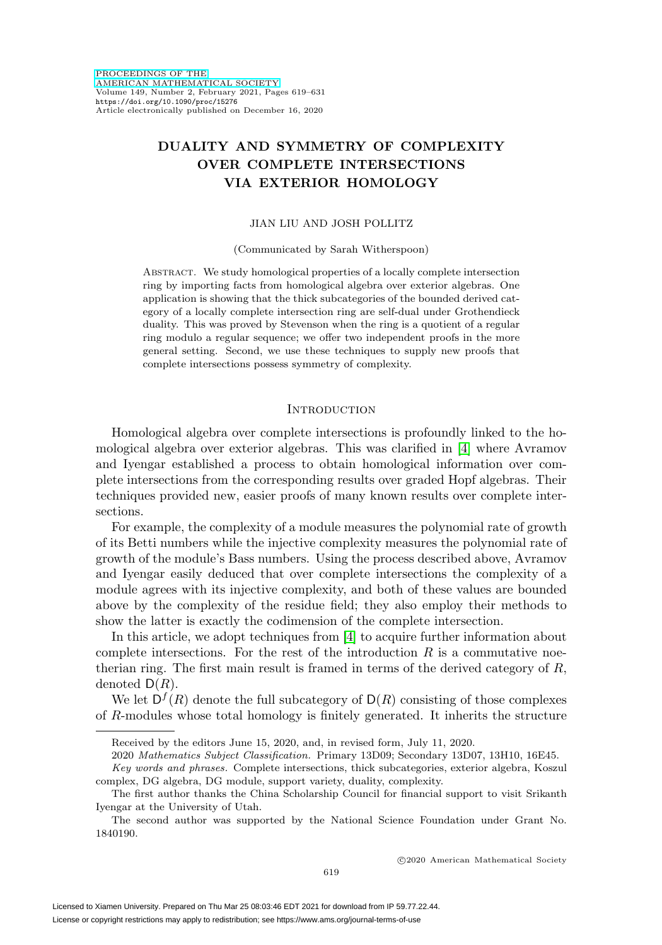# **DUALITY AND SYMMETRY OF COMPLEXITY OVER COMPLETE INTERSECTIONS VIA EXTERIOR HOMOLOGY**

## JIAN LIU AND JOSH POLLITZ

### (Communicated by Sarah Witherspoon)

Abstract. We study homological properties of a locally complete intersection ring by importing facts from homological algebra over exterior algebras. One application is showing that the thick subcategories of the bounded derived category of a locally complete intersection ring are self-dual under Grothendieck duality. This was proved by Stevenson when the ring is a quotient of a regular ring modulo a regular sequence; we offer two independent proofs in the more general setting. Second, we use these techniques to supply new proofs that complete intersections possess symmetry of complexity.

### **INTRODUCTION**

Homological algebra over complete intersections is profoundly linked to the homological algebra over exterior algebras. This was clarified in [\[4\]](#page-11-0) where Avramov and Iyengar established a process to obtain homological information over complete intersections from the corresponding results over graded Hopf algebras. Their techniques provided new, easier proofs of many known results over complete intersections.

For example, the complexity of a module measures the polynomial rate of growth of its Betti numbers while the injective complexity measures the polynomial rate of growth of the module's Bass numbers. Using the process described above, Avramov and Iyengar easily deduced that over complete intersections the complexity of a module agrees with its injective complexity, and both of these values are bounded above by the complexity of the residue field; they also employ their methods to show the latter is exactly the codimension of the complete intersection.

In this article, we adopt techniques from [\[4\]](#page-11-0) to acquire further information about complete intersections. For the rest of the introduction  $R$  is a commutative noetherian ring. The first main result is framed in terms of the derived category of R, denoted  $D(R)$ .

We let  $D^f(R)$  denote the full subcategory of  $D(R)$  consisting of those complexes of R-modules whose total homology is finitely generated. It inherits the structure

2020 Mathematics Subject Classification. Primary 13D09; Secondary 13D07, 13H10, 16E45.

Received by the editors June 15, 2020, and, in revised form, July 11, 2020.

Key words and phrases. Complete intersections, thick subcategories, exterior algebra, Koszul complex, DG algebra, DG module, support variety, duality, complexity.

The first author thanks the China Scholarship Council for financial support to visit Srikanth Iyengar at the University of Utah.

The second author was supported by the National Science Foundation under Grant No. 1840190.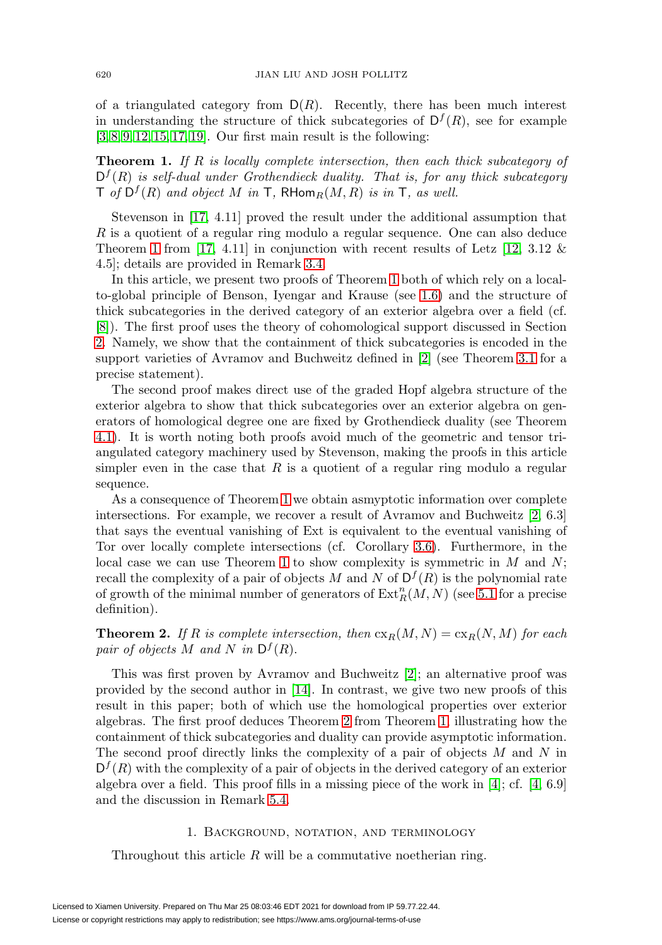of a triangulated category from  $D(R)$ . Recently, there has been much interest in understanding the structure of thick subcategories of  $D^f(R)$ , see for example [\[3,](#page-11-1) [8,](#page-11-2) [9,](#page-12-0) [12,](#page-12-1) [15,](#page-12-2) [17,](#page-12-3) [19\]](#page-12-4). Our first main result is the following:

<span id="page-1-0"></span>**Theorem 1.** If R is locally complete intersection, then each thick subcategory of  $D^f(R)$  is self-dual under Grothendieck duality. That is, for any thick subcategory  $\mathsf{T}$  of  $\mathsf{D}^f(R)$  and object M in  $\mathsf{T}$ , RHom $_R(M,R)$  is in  $\mathsf{T}$ , as well.

Stevenson in [\[17,](#page-12-3) 4.11] proved the result under the additional assumption that R is a quotient of a regular ring modulo a regular sequence. One can also deduce Theorem [1](#page-1-0) from [\[17,](#page-12-3) 4.11] in conjunction with recent results of Letz [\[12,](#page-12-1) 3.12  $\&$ 4.5]; details are provided in Remark [3.4.](#page-6-0)

In this article, we present two proofs of Theorem [1](#page-1-0) both of which rely on a localto-global principle of Benson, Iyengar and Krause (see [1.6\)](#page-3-0) and the structure of thick subcategories in the derived category of an exterior algebra over a field (cf. [\[8\]](#page-11-2)). The first proof uses the theory of cohomological support discussed in Section [2.](#page-3-1) Namely, we show that the containment of thick subcategories is encoded in the support varieties of Avramov and Buchweitz defined in [\[2\]](#page-11-3) (see Theorem [3.1](#page-5-0) for a precise statement).

The second proof makes direct use of the graded Hopf algebra structure of the exterior algebra to show that thick subcategories over an exterior algebra on generators of homological degree one are fixed by Grothendieck duality (see Theorem [4.1\)](#page-7-0). It is worth noting both proofs avoid much of the geometric and tensor triangulated category machinery used by Stevenson, making the proofs in this article simpler even in the case that  $R$  is a quotient of a regular ring modulo a regular sequence.

As a consequence of Theorem [1](#page-1-0) we obtain asmyptotic information over complete intersections. For example, we recover a result of Avramov and Buchweitz [\[2,](#page-11-3) 6.3] that says the eventual vanishing of Ext is equivalent to the eventual vanishing of Tor over locally complete intersections (cf. Corollary [3.6\)](#page-7-1). Furthermore, in the local case we can use Theorem [1](#page-1-0) to show complexity is symmetric in  $M$  and  $N$ ; recall the complexity of a pair of objects M and N of  $D^f(R)$  is the polynomial rate of growth of the minimal number of generators of  $\text{Ext}_{R}^{n}(M,N)$  (see [5.1](#page-10-0) for a precise definition).

<span id="page-1-1"></span>**Theorem 2.** If R is complete intersection, then  $c_{R}(M, N) = c_{R}(N, M)$  for each pair of objects M and N in  $D^f(R)$ .

This was first proven by Avramov and Buchweitz [\[2\]](#page-11-3); an alternative proof was provided by the second author in [\[14\]](#page-12-5). In contrast, we give two new proofs of this result in this paper; both of which use the homological properties over exterior algebras. The first proof deduces Theorem [2](#page-1-1) from Theorem [1,](#page-1-0) illustrating how the containment of thick subcategories and duality can provide asymptotic information. The second proof directly links the complexity of a pair of objects  $M$  and  $N$  in  $D^{f}(R)$  with the complexity of a pair of objects in the derived category of an exterior algebra over a field. This proof fills in a missing piece of the work in [\[4\]](#page-11-0); cf.  $[4, 6.9]$  $[4, 6.9]$ and the discussion in Remark [5.4.](#page-10-1)

# 1. Background, notation, and terminology

Throughout this article  $R$  will be a commutative noetherian ring.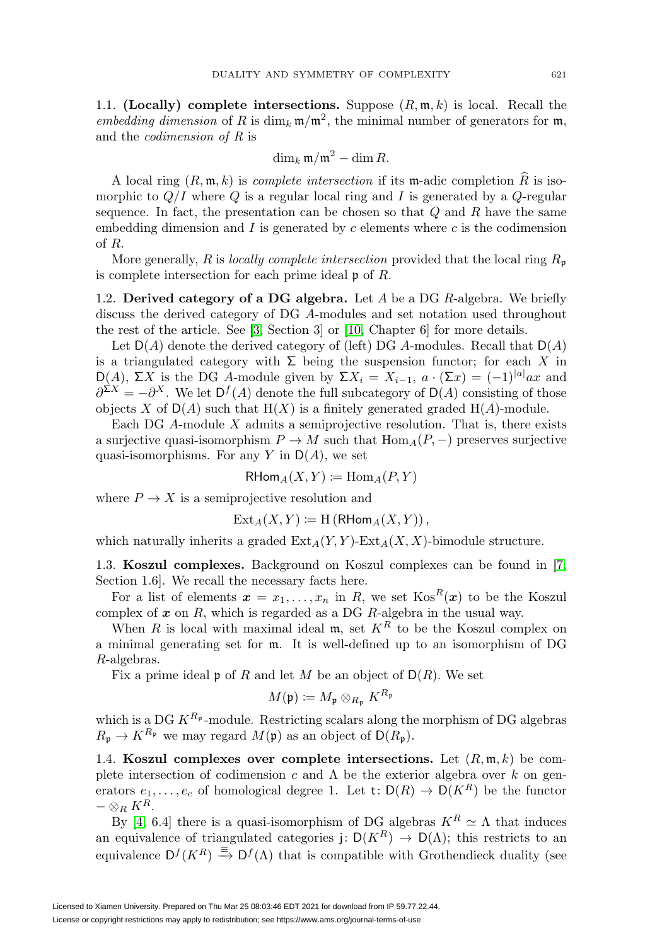1.1. **(Locally) complete intersections.** Suppose  $(R, \mathfrak{m}, k)$  is local. Recall the embedding dimension of R is dim<sub>k</sub>  $\mathfrak{m}/\mathfrak{m}^2$ , the minimal number of generators for  $\mathfrak{m}$ , and the codimension of R is

$$
\dim_k \mathfrak{m}/\mathfrak{m}^2 - \dim R.
$$

A local ring  $(R, \mathfrak{m}, k)$  is *complete intersection* if its  $\mathfrak{m}$ -adic completion R is isomorphic to  $Q/I$  where Q is a regular local ring and I is generated by a Q-regular sequence. In fact, the presentation can be chosen so that  $Q$  and  $R$  have the same embedding dimension and  $I$  is generated by  $c$  elements where  $c$  is the codimension of R.

More generally, R is locally complete intersection provided that the local ring  $R_{\mathfrak{p}}$ is complete intersection for each prime ideal  $\mathfrak p$  of  $R$ .

1.2. **Derived category of a DG algebra.** Let A be a DG R-algebra. We briefly discuss the derived category of DG A-modules and set notation used throughout the rest of the article. See [\[3,](#page-11-1) Section 3] or [\[10,](#page-12-6) Chapter 6] for more details.

Let  $D(A)$  denote the derived category of (left) DG A-modules. Recall that  $D(A)$ is a triangulated category with  $\Sigma$  being the suspension functor; for each X in D(A), ΣX is the DG A-module given by Σ $X_i = X_{i-1}$ ,  $a \cdot (\Sigma x) = (-1)^{|a|} ax$  and  $\partial^{\Sigma X} = -\partial^X$ . We let  $D^f(A)$  denote the full subcategory of  $D(A)$  consisting of those objects X of  $D(A)$  such that  $H(X)$  is a finitely generated graded  $H(A)$ -module.

Each DG  $A$ -module  $X$  admits a semiprojective resolution. That is, there exists a surjective quasi-isomorphism  $P \to M$  such that  $\text{Hom}_A(P, -)$  preserves surjective quasi-isomorphisms. For any Y in  $D(A)$ , we set

$$
\mathsf{RHom}_A(X, Y) \coloneqq \mathrm{Hom}_A(P, Y)
$$

where  $P \to X$  is a semiprojective resolution and

$$
Ext_A(X, Y) \coloneqq H\left(\mathsf{RHom}_A(X, Y)\right),
$$

which naturally inherits a graded  $\text{Ext}_A(Y, Y)$ -Ext $_A(X, X)$ -bimodule structure.

1.3. **Koszul complexes.** Background on Koszul complexes can be found in [\[7,](#page-11-4) Section 1.6]. We recall the necessary facts here.

For a list of elements  $x = x_1, \ldots, x_n$  in R, we set  $\text{Kos}^R(x)$  to be the Koszul complex of *x* on R, which is regarded as a DG R-algebra in the usual way.

When R is local with maximal ideal  $\mathfrak{m}$ , set  $K^R$  to be the Koszul complex on a minimal generating set for m. It is well-defined up to an isomorphism of DG R-algebras.

Fix a prime ideal  $\mathfrak p$  of R and let M be an object of  $D(R)$ . We set

$$
M(\mathfrak{p})\coloneqq M_{\mathfrak{p}}\otimes_{R_{\mathfrak{p}}}K^{R_{\mathfrak{p}}}
$$

which is a DG  $K^{R_p}$ -module. Restricting scalars along the morphism of DG algebras  $R_{\mathfrak{p}} \to K^{R_{\mathfrak{p}}}$  we may regard  $M(\mathfrak{p})$  as an object of  $\mathsf{D}(R_{\mathfrak{p}})$ .

<span id="page-2-0"></span>1.4. **Koszul complexes over complete intersections.** Let  $(R, \mathfrak{m}, k)$  be complete intersection of codimension c and  $\Lambda$  be the exterior algebra over k on generators  $e_1, \ldots, e_c$  of homological degree 1. Let  $t: D(R) \to D(K^R)$  be the functor  $-\otimes_R K^R$ .

By [\[4,](#page-11-0) 6.4] there is a quasi-isomorphism of DG algebras  $K^R \simeq \Lambda$  that induces an equivalence of triangulated categories j:  $D(K^R) \to D(\Lambda)$ ; this restricts to an equivalence  $D^f(K^R) \stackrel{\equiv}{\rightarrow} D^f(\Lambda)$  that is compatible with Grothendieck duality (see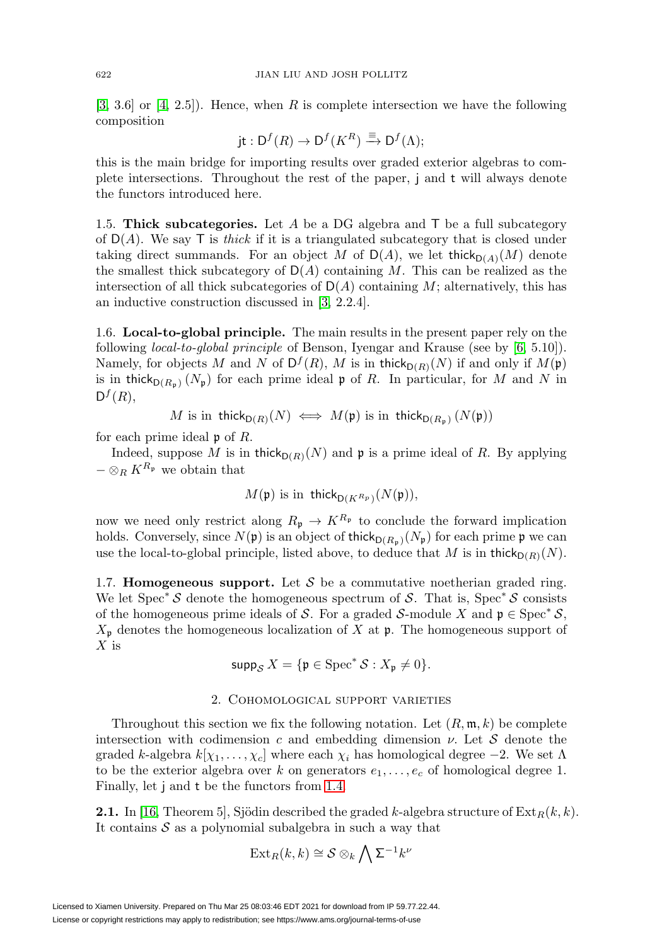$[3, 3.6]$  $[3, 3.6]$  or  $[4, 2.5]$  $[4, 2.5]$ ). Hence, when R is complete intersection we have the following composition

$$
\mathrm{jt}: \mathsf{D}^f(R) \to \mathsf{D}^f(K^R) \xrightarrow{\equiv} \mathsf{D}^f(\Lambda);
$$

this is the main bridge for importing results over graded exterior algebras to complete intersections. Throughout the rest of the paper, j and t will always denote the functors introduced here.

1.5. **Thick subcategories.** Let A be a DG algebra and T be a full subcategory of  $D(A)$ . We say T is *thick* if it is a triangulated subcategory that is closed under taking direct summands. For an object M of  $D(A)$ , we let thick $D(A)(M)$  denote the smallest thick subcategory of  $D(A)$  containing M. This can be realized as the intersection of all thick subcategories of  $D(A)$  containing M; alternatively, this has an inductive construction discussed in [\[3,](#page-11-1) 2.2.4].

<span id="page-3-0"></span>1.6. **Local-to-global principle.** The main results in the present paper rely on the following local-to-global principle of Benson, Iyengar and Krause (see by [\[6,](#page-11-5) 5.10]). Namely, for objects M and N of  $D^f(R)$ , M is in thick $D(R)(N)$  if and only if  $M(\mathfrak{p})$ is in thick $b_{D(R_n)}(N_p)$  for each prime ideal p of R. In particular, for M and N in  $D^f(R)$ ,

M is in 
$$
\operatorname{thick}_{D(R)}(N) \iff M(\mathfrak{p})
$$
 is in  $\operatorname{thick}_{D(R_{\mathfrak{p}})}(N(\mathfrak{p}))$ 

for each prime ideal  $\mathfrak p$  of  $R$ .

Indeed, suppose M is in thick $_{D(R)}(N)$  and p is a prime ideal of R. By applying  $-\otimes_R K^{R_{\mathfrak{p}}}$  we obtain that

$$
M(\mathfrak{p})
$$
 is in  $\operatorname{thick}_{D(K^{R_p})}(N(\mathfrak{p})),$ 

now we need only restrict along  $R_{\mathfrak{p}} \to K^{R_{\mathfrak{p}}}$  to conclude the forward implication holds. Conversely, since  $N(\mathfrak{p})$  is an object of thick $D(R_p)(N_p)$  for each prime  $\mathfrak{p}$  we can use the local-to-global principle, listed above, to deduce that M is in thick $p(R)(N)$ .

1.7. **Homogeneous support.** Let  $S$  be a commutative noetherian graded ring. We let  $Spec^* S$  denote the homogeneous spectrum of S. That is,  $Spec^* S$  consists of the homogeneous prime ideals of S. For a graded S-module X and  $\mathfrak{p} \in \text{Spec}^* \mathcal{S}$ ,  $X_{\mathfrak{p}}$  denotes the homogeneous localization of X at  $\mathfrak{p}$ . The homogeneous support of  $X$  is

$$
\operatorname{supp}_{\mathcal{S}} X = \{ \mathfrak{p} \in \operatorname{Spec}^* \mathcal{S} : X_{\mathfrak{p}} \neq 0 \}.
$$

# 2. Cohomological support varieties

<span id="page-3-1"></span>Throughout this section we fix the following notation. Let  $(R, \mathfrak{m}, k)$  be complete intersection with codimension c and embedding dimension  $\nu$ . Let S denote the graded k-algebra  $k[\chi_1,\ldots,\chi_c]$  where each  $\chi_i$  has homological degree  $-2$ . We set  $\Lambda$ to be the exterior algebra over k on generators  $e_1, \ldots, e_c$  of homological degree 1. Finally, let j and t be the functors from [1.4.](#page-2-0)

<span id="page-3-2"></span>**2.1.** In [\[16,](#page-12-7) Theorem 5], Sjödin described the graded k-algebra structure of  $\text{Ext}_R(k, k)$ . It contains  $S$  as a polynomial subalgebra in such a way that

$$
\mathrm{Ext}_{R}(k,k)\cong\mathcal{S}\otimes_{k}\bigwedge\Sigma^{-1}k^{\nu}
$$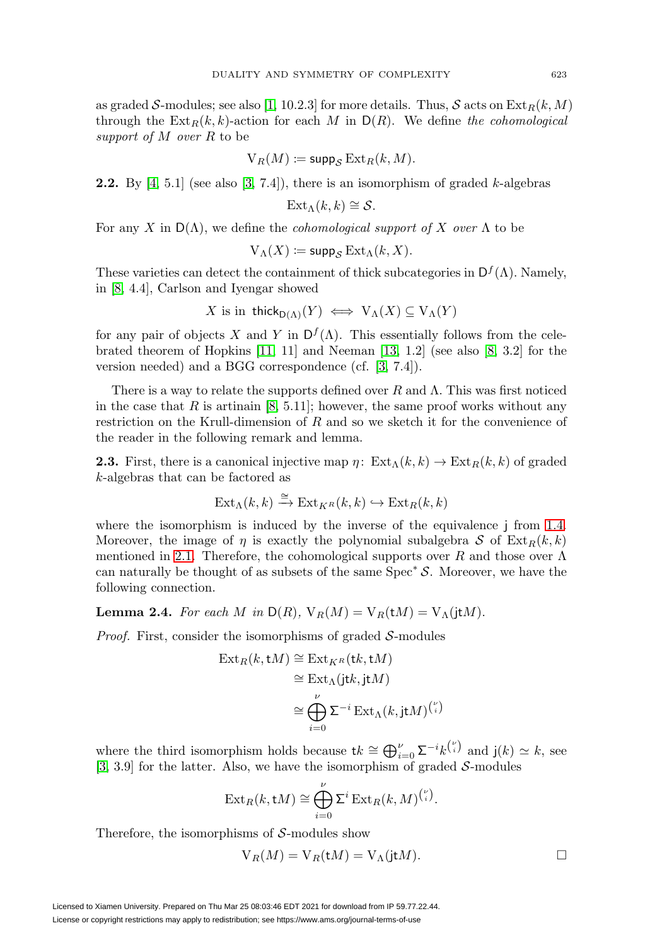as graded S-modules; see also [\[1,](#page-11-6) 10.2.3] for more details. Thus, S acts on  $\text{Ext}_R(k,M)$ through the  $\text{Ext}_R(k, k)$ -action for each M in  $D(R)$ . We define the cohomological support of  $M$  over  $R$  to be

$$
V_R(M) \coloneqq \mathsf{supp}_{\mathcal{S}} \operatorname{Ext}_R(k, M).
$$

<span id="page-4-1"></span>**2.2.** By  $[4, 5.1]$  $[4, 5.1]$  (see also  $[3, 7.4]$  $[3, 7.4]$ ), there is an isomorphism of graded k-algebras

$$
\text{Ext}_{\Lambda}(k,k)\cong\mathcal{S}.
$$

For any X in  $D(\Lambda)$ , we define the *cohomological support of* X over  $\Lambda$  to be

$$
V_{\Lambda}(X) \coloneqq \mathsf{supp}_{\mathcal{S}} \operatorname{Ext}_{\Lambda}(k, X).
$$

These varieties can detect the containment of thick subcategories in  $D<sup>f</sup>(\Lambda)$ . Namely, in [\[8,](#page-11-2) 4.4], Carlson and Iyengar showed

$$
X \text{ is in } \mathsf{thick}_{\mathsf{D}(\Lambda)}(Y) \iff \mathsf{V}_{\Lambda}(X) \subseteq \mathsf{V}_{\Lambda}(Y)
$$

for any pair of objects X and Y in  $D^f(\Lambda)$ . This essentially follows from the celebrated theorem of Hopkins  $[11, 11]$  $[11, 11]$  and Neeman  $[13, 1.2]$  $[13, 1.2]$  (see also  $[8, 3.2]$  $[8, 3.2]$  for the version needed) and a BGG correspondence (cf. [\[3,](#page-11-1) 7.4]).

There is a way to relate the supports defined over  $R$  and  $\Lambda$ . This was first noticed in the case that  $R$  is artinain [\[8,](#page-11-2) 5.11]; however, the same proof works without any restriction on the Krull-dimension of R and so we sketch it for the convenience of the reader in the following remark and lemma.

**2.3.** First, there is a canonical injective map  $\eta$ :  $\operatorname{Ext}_{\Lambda}(k, k) \to \operatorname{Ext}_{R}(k, k)$  of graded k-algebras that can be factored as

$$
\text{Ext}_{\Lambda}(k,k) \xrightarrow{\cong} \text{Ext}_{K^{R}}(k,k) \hookrightarrow \text{Ext}_{R}(k,k)
$$

where the isomorphism is induced by the inverse of the equivalence j from [1.4.](#page-2-0) Moreover, the image of  $\eta$  is exactly the polynomial subalgebra S of  $\text{Ext}_R(k, k)$ mentioned in [2.1.](#page-3-2) Therefore, the cohomological supports over R and those over  $\Lambda$ can naturally be thought of as subsets of the same  $Spec^* S$ . Moreover, we have the following connection.

<span id="page-4-0"></span>**Lemma 2.4.** For each M in  $D(R)$ ,  $V_R(M) = V_R(tM) = V_\Lambda(itM)$ .

*Proof.* First, consider the isomorphisms of graded  $S$ -modules

$$
\begin{aligned} \operatorname{Ext}_R(k, \mathbf{t}M) &\cong \operatorname{Ext}_{K^R}(\mathbf{t}k, \mathbf{t}M) \\ &\cong \operatorname{Ext}_{\Lambda}(\mathbf{j}\mathbf{t}k, \mathbf{j}\mathbf{t}M) \\ &\cong \bigoplus_{i=0}^{\nu} \Sigma^{-i} \operatorname{Ext}_{\Lambda}(k, \mathbf{j}\mathbf{t}M)^{v \choose i} \end{aligned}
$$

where the third isomorphism holds because  $\mathbf{t}k \cong \bigoplus_{i=0}^{\nu} \Sigma^{-i} k^{v \choose i}$  and  $\mathbf{j}(k) \simeq k$ , see  $[3, 3.9]$  $[3, 3.9]$  for the latter. Also, we have the isomorphism of graded S-modules

$$
\operatorname{Ext}_R(k,\operatorname{t} M)\cong \bigoplus_{i=0}^\nu \Sigma^i\operatorname{Ext}_R(k,M)^{v \choose i}.
$$

Therefore, the isomorphisms of  $S$ -modules show

$$
V_R(M) = V_R(tM) = V_{\Lambda}(j t M).
$$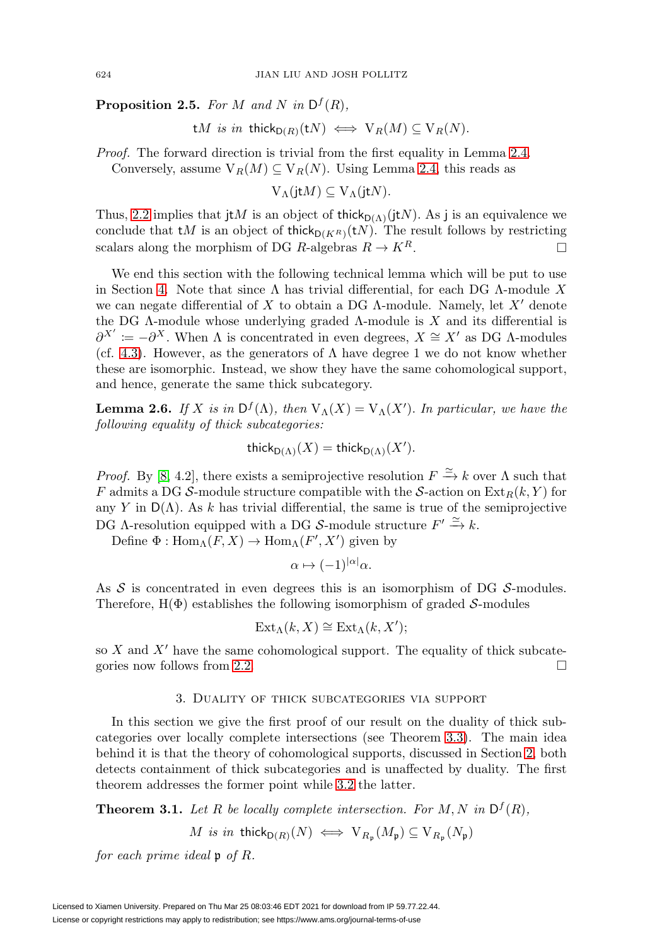<span id="page-5-1"></span>**Proposition 2.5.** For M and N in  $D^f(R)$ ,

tM is in thick $_{D(R)}(tN) \iff V_R(M) \subseteq V_R(N)$ .

Proof. The forward direction is trivial from the first equality in Lemma [2.4.](#page-4-0) Conversely, assume  $V_R(M) \subseteq V_R(N)$ . Using Lemma [2.4,](#page-4-0) this reads as

 $V_\Lambda(jtM) \subseteq V_\Lambda(jtN)$ .

Thus, [2.2](#page-4-1) implies that jtM is an object of thick $D(\Lambda)(jtN)$ . As j is an equivalence we conclude that  $tM$  is an object of thick $p(K_R)(tN)$ . The result follows by restricting scalars along the morphism of DG R-algebras  $R \to K^R$ .

We end this section with the following technical lemma which will be put to use in Section [4.](#page-7-2) Note that since  $\Lambda$  has trivial differential, for each DG  $\Lambda$ -module X we can negate differential of X to obtain a DG  $\Lambda$ -module. Namely, let X' denote the DG  $\Lambda$ -module whose underlying graded  $\Lambda$ -module is X and its differential is  $\partial^{X'} := -\partial^X$ . When  $\Lambda$  is concentrated in even degrees,  $X \cong X'$  as DG  $\Lambda$ -modules (cf. [4.3\)](#page-8-0). However, as the generators of  $\Lambda$  have degree 1 we do not know whether these are isomorphic. Instead, we show they have the same cohomological support, and hence, generate the same thick subcategory.

<span id="page-5-2"></span>**Lemma 2.6.** If X is in  $D^f(\Lambda)$ , then  $V_{\Lambda}(X) = V_{\Lambda}(X')$ . In particular, we have the following equality of thick subcategories:

$$
\mathsf{thick}_{\mathsf{D}(\Lambda)}(X) = \mathsf{thick}_{\mathsf{D}(\Lambda)}(X').
$$

*Proof.* By [\[8,](#page-11-2) 4.2], there exists a semiprojective resolution  $F \xrightarrow{\simeq} k$  over  $\Lambda$  such that F admits a DG S-module structure compatible with the S-action on  $\text{Ext}_R(k, Y)$  for any Y in  $D(\Lambda)$ . As k has trivial differential, the same is true of the semiprojective DG  $\Lambda$ -resolution equipped with a DG S-module structure  $F' \xrightarrow{\simeq} k$ .

Define  $\Phi: \text{Hom}_{\Lambda}(F, X) \to \text{Hom}_{\Lambda}(F', X')$  given by

$$
\alpha \mapsto (-1)^{|\alpha|} \alpha.
$$

As  $S$  is concentrated in even degrees this is an isomorphism of DG  $S$ -modules. Therefore,  $H(\Phi)$  establishes the following isomorphism of graded S-modules

$$
\text{Ext}_{\Lambda}(k, X) \cong \text{Ext}_{\Lambda}(k, X');
$$

so  $X$  and  $X'$  have the same cohomological support. The equality of thick subcate-gories now follows from [2.2.](#page-4-1)  $\Box$ 

# 3. Duality of thick subcategories via support

In this section we give the first proof of our result on the duality of thick subcategories over locally complete intersections (see Theorem [3.3\)](#page-6-1). The main idea behind it is that the theory of cohomological supports, discussed in Section [2,](#page-3-1) both detects containment of thick subcategories and is unaffected by duality. The first theorem addresses the former point while [3.2](#page-6-2) the latter.

<span id="page-5-0"></span>**Theorem 3.1.** Let R be locally complete intersection. For M, N in  $D^f(R)$ ,

$$
M \text{ is in thick}_{D(R)}(N) \iff \mathrm{V}_{R_{\mathfrak{p}}}(M_{\mathfrak{p}}) \subseteq \mathrm{V}_{R_{\mathfrak{p}}}(N_{\mathfrak{p}})
$$

for each prime ideal  $\mathfrak p$  of R.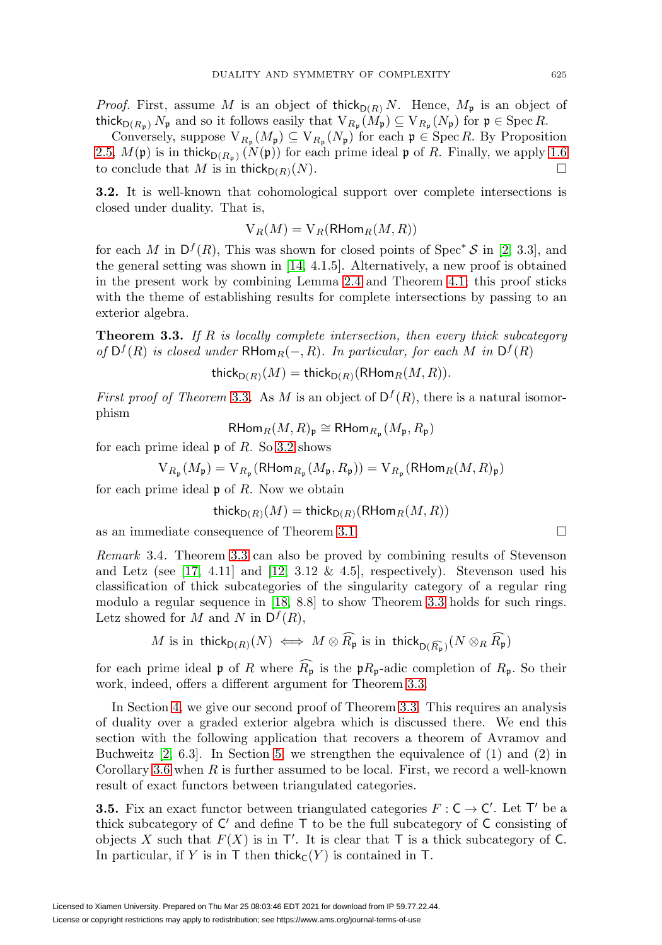*Proof.* First, assume M is an object of thick<sub>D(R)</sub> N. Hence,  $M_p$  is an object of thick<sub>D(R<sub>p</sub>)</sub>  $N_p$  and so it follows easily that  $V_{R_p}(M_p) \subseteq V_{R_p}(N_p)$  for  $p \in \text{Spec } R$ .

Conversely, suppose  $V_{R_p}(M_p) \subseteq V_{R_p}(N_p)$  for each  $\mathfrak{p} \in \operatorname{Spec} R$ . By Proposition [2.5,](#page-5-1)  $M(\mathfrak{p})$  is in thick $D(R_n)$   $(N(\mathfrak{p}))$  for each prime ideal p of R. Finally, we apply [1.6](#page-3-0) to conclude that M is in thick $p(R)(N)$ .  $\Box$ 

<span id="page-6-2"></span>**3.2.** It is well-known that cohomological support over complete intersections is closed under duality. That is,

$$
V_R(M) = V_R(RHom_R(M, R))
$$

for each M in  $D^f(R)$ , This was shown for closed points of Spec<sup>∗</sup> S in [\[2,](#page-11-3) 3.3], and the general setting was shown in [\[14,](#page-12-5) 4.1.5]. Alternatively, a new proof is obtained in the present work by combining Lemma [2.4](#page-4-0) and Theorem [4.1;](#page-7-0) this proof sticks with the theme of establishing results for complete intersections by passing to an exterior algebra.

<span id="page-6-1"></span>**Theorem 3.3.** If R is locally complete intersection, then every thick subcategory of  $D^f(R)$  is closed under RHom<sub>R</sub>(−, R). In particular, for each M in  $D^f(R)$ 

thick<sub>D(R)</sub>(M) = thick<sub>D(R)</sub>(RHom<sub>R</sub>(M, R)).

*First proof of Theorem* [3.3](#page-6-1). As M is an object of  $D^{f}(R)$ , there is a natural isomorphism

 $\mathsf{RHom}_R(M,R)_{\mathfrak{p}} \cong \mathsf{RHom}_{R_{\mathfrak{p}}}(M_{\mathfrak{p}},R_{\mathfrak{p}})$ 

for each prime ideal  $\mathfrak p$  of  $R$ . So [3.2](#page-6-2) shows

$$
\operatorname{V}_{R_\mathfrak{p}}(M_\mathfrak{p})=\operatorname{V}_{R_\mathfrak{p}}(\operatorname{\mathsf{RHom}}_{R_\mathfrak{p}}(M_\mathfrak{p},R_\mathfrak{p}))=\operatorname{V}_{R_\mathfrak{p}}(\operatorname{\mathsf{RHom}}_R(M,R)_\mathfrak{p})
$$

for each prime ideal  $\mathfrak p$  of R. Now we obtain

$$
\operatorname{thick}_{\mathsf{D}(R)}(M) = \operatorname{thick}_{\mathsf{D}(R)}(\mathsf{RHom}_R(M, R))
$$

as an immediate consequence of Theorem [3.1.](#page-5-0)  $\Box$ 

<span id="page-6-0"></span>Remark 3.4. Theorem [3.3](#page-6-1) can also be proved by combining results of Stevenson and Letz (see [\[17,](#page-12-3) 4.11] and [\[12,](#page-12-1) 3.12  $\&$  4.5], respectively). Stevenson used his classification of thick subcategories of the singularity category of a regular ring modulo a regular sequence in [\[18,](#page-12-10) 8.8] to show Theorem [3.3](#page-6-1) holds for such rings. Letz showed for M and N in  $D^f(R)$ ,

$$
M \text{ is in } \operatorname{\mathsf{thick}}_{\mathsf{D}(R)}(N) \iff M \otimes \widehat{R_{\mathfrak{p}}} \text{ is in } \operatorname{\mathsf{thick}}_{\mathsf{D}(\widehat{R_{\mathfrak{p}}})}(N \otimes_R \widehat{R_{\mathfrak{p}}})
$$

for each prime ideal  $\mathfrak p$  of R where  $R_{\mathfrak p}$  is the  $\mathfrak pR_{\mathfrak p}$ -adic completion of  $R_{\mathfrak p}$ . So their work, indeed, offers a different argument for Theorem [3.3.](#page-6-1)

In Section [4,](#page-7-2) we give our second proof of Theorem [3.3.](#page-6-1) This requires an analysis of duality over a graded exterior algebra which is discussed there. We end this section with the following application that recovers a theorem of Avramov and Buchweitz [\[2,](#page-11-3) 6.3]. In Section [5,](#page-10-2) we strengthen the equivalence of (1) and (2) in Corollary [3.6](#page-7-1) when  $R$  is further assumed to be local. First, we record a well-known result of exact functors between triangulated categories.

<span id="page-6-3"></span>**3.5.** Fix an exact functor between triangulated categories  $F : C \to C'$ . Let T' be a thick subcategory of  $C'$  and define  $T$  to be the full subcategory of  $C$  consisting of objects X such that  $F(X)$  is in T'. It is clear that T is a thick subcategory of C. In particular, if Y is in  $\mathsf T$  then thick<sub>C</sub>(Y) is contained in  $\mathsf T$ .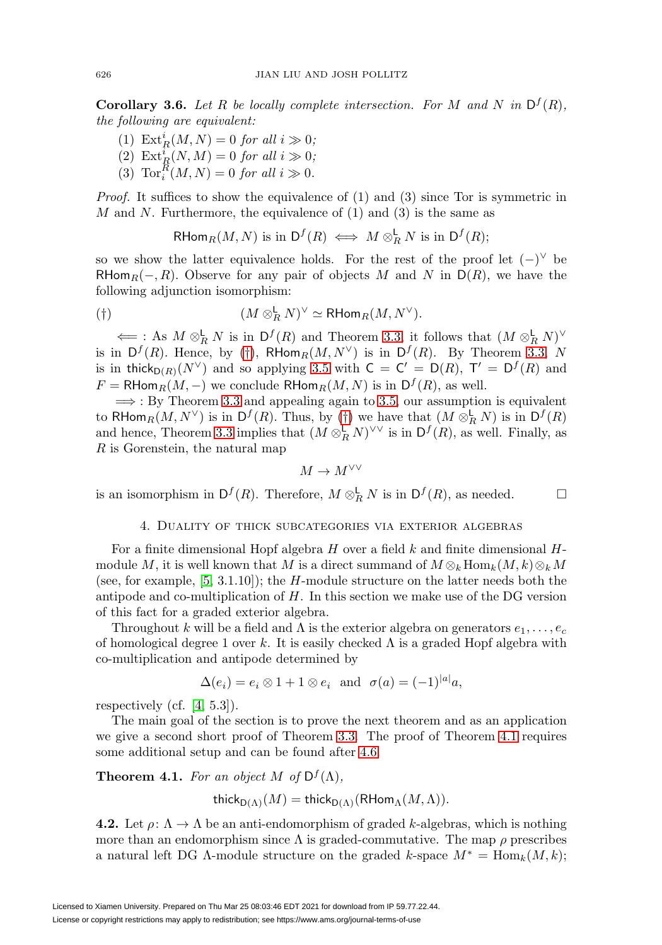<span id="page-7-1"></span>**Corollary 3.6.** Let R be locally complete intersection. For M and N in  $D^f(R)$ , the following are equivalent:

- (1)  $\mathrm{Ext}^i_R(M,N) = 0$  for all  $i \gg 0;$
- (2)  $\mathrm{Ext}^i_R(N,M) = 0$  for all  $i \gg 0;$
- (3)  $\operatorname{Tor}_i^R(M,N) = 0$  for all  $i \gg 0$ .

*Proof.* It suffices to show the equivalence of  $(1)$  and  $(3)$  since Tor is symmetric in M and N. Furthermore, the equivalence of  $(1)$  and  $(3)$  is the same as

RHom $_R(M, N)$  is in  $\mathsf{D}^f(R) \iff M \otimes_R^{\mathsf{L}} N$  is in  $\mathsf{D}^f(R)$ ;

so we show the latter equivalence holds. For the rest of the proof let  $(-)^\vee$  be RHom<sub>R</sub> $(-, R)$ . Observe for any pair of objects M and N in D(R), we have the following adjunction isomorphism:

<span id="page-7-3"></span>
$$
(\dagger) \qquad \qquad (M \otimes_R^{\mathsf{L}} N)^\vee \simeq \mathsf{R}\mathsf{Hom}_R(M, N^\vee).
$$

 $\Leftarrow$ : As  $M \otimes_R^{\mathsf{L}} N$  is in  $\mathsf{D}^f(R)$  and Theorem [3.3,](#page-6-1) it follows that  $(M \otimes_R^{\mathsf{L}} N)^\vee$ is in  $D^f(R)$ . Hence, by ([†](#page-7-3)), RHom $_R(M, N^{\vee})$  is in  $D^f(R)$ . By Theorem [3.3,](#page-6-1) N is in thick $b_{D(R)}(N^{\vee})$  and so applying [3.5](#page-6-3) with  $C = C' = D(R)$ ,  $T' = D^{f}(R)$  and  $F = R$ Hom $_R(M, -)$  we conclude  $R$ Hom $_R(M, N)$  is in  $D^f(R)$ , as well.

 $\implies$ : By Theorem [3.3](#page-6-1) and appealing again to [3.5,](#page-6-3) our assumption is equivalent to RHom $_R(M, N^{\vee})$  is in  $\mathsf{D}^f(R)$ . Thus, by ([†](#page-7-3)) we have that  $(M \otimes_R^{\mathsf{L}} N)$  is in  $\mathsf{D}^f(R)$ and hence, Theorem [3.3](#page-6-1) implies that  $(M \otimes_R^{\mathsf{L}} N)^{\vee \vee}$  is in  $\mathsf{D}^f(R)$ , as well. Finally, as R is Gorenstein, the natural map

$$
M\to M^{\vee\vee}
$$

<span id="page-7-2"></span>is an isomorphism in  $\mathsf{D}^f(R)$ . Therefore,  $M \otimes_R^{\mathsf{L}} N$  is in  $\mathsf{D}^f(R)$ , as needed.  $\Box$ 

### 4. Duality of thick subcategories via exterior algebras

For a finite dimensional Hopf algebra  $H$  over a field  $k$  and finite dimensional  $H$ module M, it is well known that M is a direct summand of  $M \otimes_k \text{Hom}_k(M, k) \otimes_k M$ (see, for example,  $[5, 3.1.10]$  $[5, 3.1.10]$ ); the H-module structure on the latter needs both the antipode and co-multiplication of  $H$ . In this section we make use of the DG version of this fact for a graded exterior algebra.

Throughout k will be a field and  $\Lambda$  is the exterior algebra on generators  $e_1, \ldots, e_c$ of homological degree 1 over k. It is easily checked  $\Lambda$  is a graded Hopf algebra with co-multiplication and antipode determined by

$$
\Delta(e_i) = e_i \otimes 1 + 1 \otimes e_i \text{ and } \sigma(a) = (-1)^{|a|} a,
$$

respectively (cf.  $[4, 5.3]$  $[4, 5.3]$ ).

The main goal of the section is to prove the next theorem and as an application we give a second short proof of Theorem [3.3.](#page-6-1) The proof of Theorem [4.1](#page-7-0) requires some additional setup and can be found after [4.6.](#page-8-1)

<span id="page-7-0"></span>**Theorem 4.1.** For an object M of  $D^f(\Lambda)$ ,

thick<sub>D(Λ)</sub>(M) = thick<sub>D(Λ)</sub>(RHom<sub>Λ</sub>(M,Λ)).

<span id="page-7-4"></span>**4.2.** Let  $\rho: \Lambda \to \Lambda$  be an anti-endomorphism of graded k-algebras, which is nothing more than an endomorphism since  $\Lambda$  is graded-commutative. The map  $\rho$  prescribes a natural left DG  $\Lambda$ -module structure on the graded k-space  $M^* = \text{Hom}_k(M, k)$ ;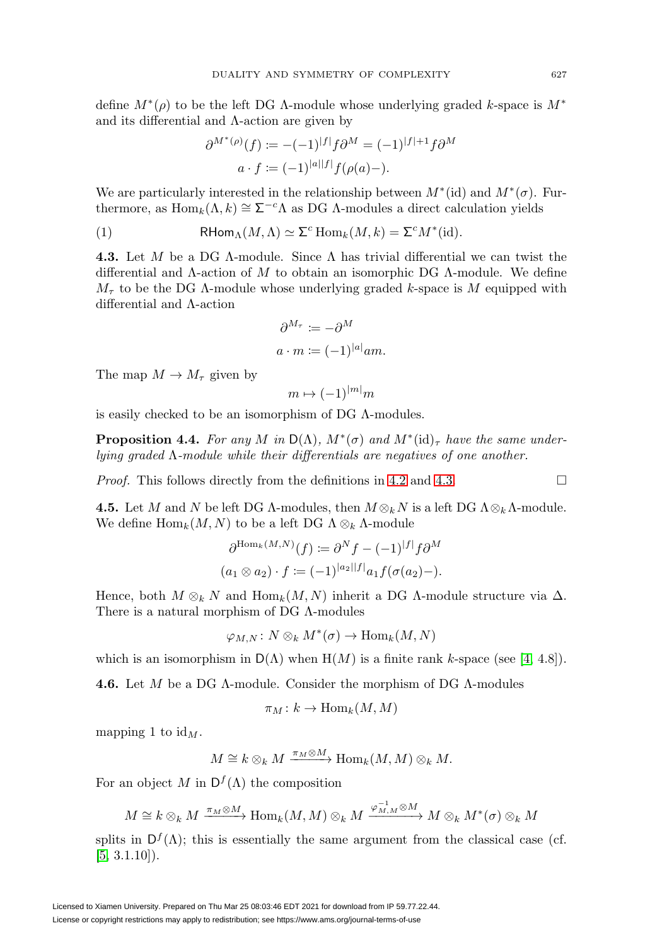define  $M^*(\rho)$  to be the left DG  $\Lambda$ -module whose underlying graded k-space is  $M^*$ and its differential and Λ-action are given by

$$
\partial^{M^*(\rho)}(f) := -(-1)^{|f|} f \partial^M = (-1)^{|f|+1} f \partial^M
$$

$$
a \cdot f := (-1)^{|a||f|} f(\rho(a) -).
$$

We are particularly interested in the relationship between  $M^*(\text{d})$  and  $M^*(\sigma)$ . Furthermore, as  $\text{Hom}_k(\Lambda, k) \cong \Sigma^{-c} \Lambda$  as DG  $\Lambda$ -modules a direct calculation yields

<span id="page-8-3"></span>(1) 
$$
\mathsf{RHom}_{\Lambda}(M,\Lambda) \simeq \Sigma^{c} \operatorname{Hom}_{k}(M,k) = \Sigma^{c} M^{*}(\mathrm{id}).
$$

<span id="page-8-0"></span>**4.3.** Let M be a DG Λ-module. Since Λ has trivial differential we can twist the differential and  $\Lambda$ -action of M to obtain an isomorphic DG  $\Lambda$ -module. We define  $M_{\tau}$  to be the DG A-module whose underlying graded k-space is M equipped with differential and Λ-action

$$
\partial^{M_{\tau}} \coloneqq -\partial^{M}
$$

$$
a \cdot m \coloneqq (-1)^{|a|} am.
$$

The map  $M \to M_\tau$  given by

$$
m \mapsto (-1)^{|m|} m
$$

is easily checked to be an isomorphism of DG Λ-modules.

<span id="page-8-2"></span>**Proposition 4.4.** For any M in  $D(\Lambda)$ ,  $M^*(\sigma)$  and  $M^*(id)$ <sub>r</sub> have the same underlying graded Λ-module while their differentials are negatives of one another.

*Proof.* This follows directly from the definitions in [4.2](#page-7-4) and [4.3.](#page-8-0)  $\Box$ 

**4.5.** Let M and N be left DG  $\Lambda$ -modules, then  $M \otimes_k N$  is a left DG  $\Lambda \otimes_k \Lambda$ -module. We define  $\text{Hom}_k(M,N)$  to be a left DG  $\Lambda \otimes_k \Lambda$ -module

$$
\partial^{\text{Hom}_k(M,N)}(f) := \partial^N f - (-1)^{|f|} f \partial^M
$$
  
(a<sub>1</sub> \otimes a<sub>2</sub>) · f := (-1)^{|a<sub>2</sub>||f|} a<sub>1</sub> f(\sigma(a<sub>2</sub>) -).

Hence, both  $M \otimes_k N$  and  $\text{Hom}_k(M,N)$  inherit a DG  $\Lambda$ -module structure via  $\Delta$ . There is a natural morphism of DG Λ-modules

$$
\varphi_{M,N} \colon N \otimes_k M^*(\sigma) \to \text{Hom}_k(M,N)
$$

which is an isomorphism in  $D(\Lambda)$  when  $H(M)$  is a finite rank k-space (see [\[4,](#page-11-0) 4.8]).

<span id="page-8-1"></span>**4.6.** Let M be a DG Λ-module. Consider the morphism of DG Λ-modules

$$
\pi_M\colon k\to \operatorname{Hom}_k(M,M)
$$

mapping 1 to  $\mathrm{id}_M$ .

$$
M \cong k \otimes_k M \xrightarrow{\pi_M \otimes M} \text{Hom}_k(M,M) \otimes_k M.
$$

For an object M in  $D^f(\Lambda)$  the composition

$$
M \cong k \otimes_k M \xrightarrow{\pi_M \otimes M} \text{Hom}_k(M, M) \otimes_k M \xrightarrow{\varphi_{M, M}^{-1} \otimes M} M \otimes_k M^*(\sigma) \otimes_k M
$$

splits in  $D^f(\Lambda)$ ; this is essentially the same argument from the classical case (cf.  $[5, 3.1.10]$  $[5, 3.1.10]$ .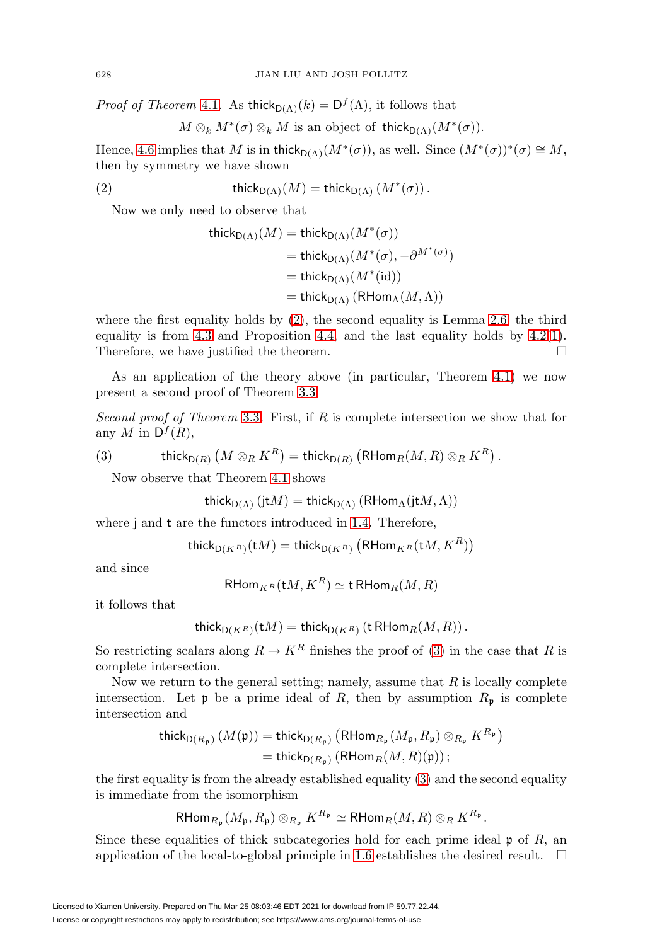*Proof of Theorem [4.1](#page-7-0).* As thick<sub>D(Λ)</sub>(k) =  $D<sup>f</sup>(Λ)$ , it follows that

 $M \otimes_k M^*(\sigma) \otimes_k M$  is an object of thick $D(\Lambda)(M^*(\sigma))$ .

Hence, [4.6](#page-8-1) implies that M is in thick $D(\Lambda)(M^*(\sigma))$ , as well. Since  $(M^*(\sigma))^*(\sigma) \cong M$ , then by symmetry we have shown

<span id="page-9-0"></span>
$$
(2) \t\t\t\t\t\t\t\text{thick}_{D(\Lambda)}(M) = \text{thick}_{D(\Lambda)}(M^*(\sigma)).
$$

Now we only need to observe that

$$
\begin{aligned} \operatorname{thick}_{\mathsf{D}(\Lambda)}(M) &= \operatorname{thick}_{\mathsf{D}(\Lambda)}(M^*(\sigma)) \\ &= \operatorname{thick}_{\mathsf{D}(\Lambda)}(M^*(\sigma), -\partial^{M^*(\sigma)}) \\ &= \operatorname{thick}_{\mathsf{D}(\Lambda)}(M^*(\operatorname{id})) \\ &= \operatorname{thick}_{\mathsf{D}(\Lambda)}\left(\operatorname{RHom}_{\Lambda}(M, \Lambda)\right) \end{aligned}
$$

where the first equality holds by [\(2\)](#page-9-0), the second equality is Lemma [2.6,](#page-5-2) the third equality is from [4.3](#page-8-0) and Proposition [4.4,](#page-8-2) and the last equality holds by [4.2\(](#page-7-4)[1\)](#page-8-3). Therefore, we have justified the theorem.  $\Box$ 

As an application of the theory above (in particular, Theorem [4.1\)](#page-7-0) we now present a second proof of Theorem [3.3.](#page-6-1)

Second proof of Theorem [3.3](#page-6-1). First, if R is complete intersection we show that for any M in  $D^f(R)$ ,

<span id="page-9-1"></span>(3) 
$$
\operatorname{thick}_{\mathsf{D}(R)}\left(M\otimes_R K^R\right)=\operatorname{thick}_{\mathsf{D}(R)}\left(\mathsf{RHom}_R(M,R)\otimes_R K^R\right).
$$

Now observe that Theorem [4.1](#page-7-0) shows

$$
\mathsf{thick}_{\mathsf{D}(\Lambda)}\left(\mathsf{jt}M\right) = \mathsf{thick}_{\mathsf{D}(\Lambda)}\left(\mathsf{RHom}_{\Lambda}(\mathsf{jt}M,\Lambda)\right)
$$

where j and t are the functors introduced in [1.4.](#page-2-0) Therefore,

$$
\operatorname{\mathsf{thick}}_{\mathsf{D}(K^R)}(\operatorname{\mathsf{t}} M)=\operatorname{\mathsf{thick}}_{\mathsf{D}(K^R)}\left(\mathsf{R}\mathsf{Hom}_{K^R}(\operatorname{\mathsf{t}} M,K^R)\right)
$$

and since

$$
\operatorname{\mathsf{RHom}}_{K^R}(\operatorname{\mathsf{t}} M,K^R)\simeq \operatorname{\mathsf{tRHom}}_R(M,R)
$$

it follows that

$$
\operatorname{\mathsf{thick}}_{\mathsf{D}(K^R)}(\operatorname{\mathsf{t}} M)=\operatorname{\mathsf{thick}}_{\mathsf{D}(K^R)}(\operatorname{\mathsf{tRHom}}_R(M,R))
$$

So restricting scalars along  $R \to K^R$  finishes the proof of [\(3\)](#page-9-1) in the case that R is complete intersection.

Now we return to the general setting; namely, assume that  $R$  is locally complete intersection. Let **p** be a prime ideal of R, then by assumption  $R_p$  is complete intersection and

$$
\begin{aligned} \mathsf{thick}_{\mathsf{D}(R_{\mathfrak{p}})}\left(M(\mathfrak{p})\right) &= \mathsf{thick}_{\mathsf{D}(R_{\mathfrak{p}})}\left(\mathsf{RHom}_{R_{\mathfrak{p}}}(M_{\mathfrak{p}}, R_{\mathfrak{p}}) \otimes_{R_{\mathfrak{p}}} K^{R_{\mathfrak{p}}}\right) \\ &= \mathsf{thick}_{\mathsf{D}(R_{\mathfrak{p}})}\left(\mathsf{RHom}_{R}(M, R)(\mathfrak{p})\right); \end{aligned}
$$

the first equality is from the already established equality [\(3\)](#page-9-1) and the second equality is immediate from the isomorphism

$$
\mathsf{RHom}_{R_{\mathfrak{p}}}(M_{\mathfrak{p}},R_{\mathfrak{p}})\otimes_{R_{\mathfrak{p}}}K^{R_{\mathfrak{p}}}\simeq \mathsf{RHom}_R(M,R)\otimes_R K^{R_{\mathfrak{p}}}.
$$

Since these equalities of thick subcategories hold for each prime ideal  $\mathfrak p$  of R, an application of the local-to-global principle in [1.6](#page-3-0) establishes the desired result.  $\Box$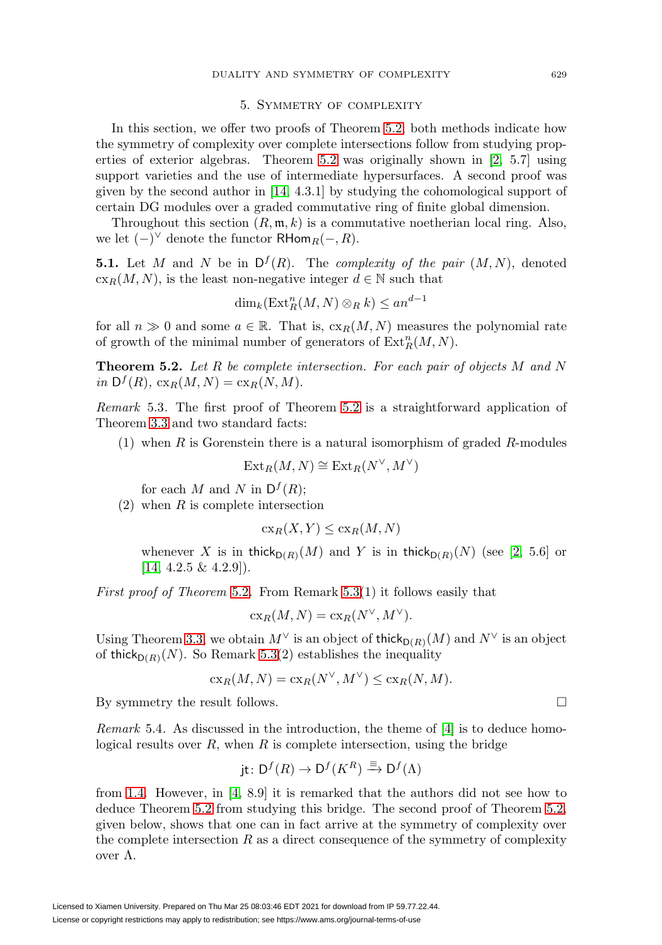# 5. Symmetry of complexity

<span id="page-10-2"></span>In this section, we offer two proofs of Theorem [5.2;](#page-10-3) both methods indicate how the symmetry of complexity over complete intersections follow from studying properties of exterior algebras. Theorem [5.2](#page-10-3) was originally shown in [\[2,](#page-11-3) 5.7] using support varieties and the use of intermediate hypersurfaces. A second proof was given by the second author in [\[14,](#page-12-5) 4.3.1] by studying the cohomological support of certain DG modules over a graded commutative ring of finite global dimension.

Throughout this section  $(R, \mathfrak{m}, k)$  is a commutative noetherian local ring. Also, we let  $(-)^\vee$  denote the functor RHom<sub>R</sub> $(-, R)$ .

<span id="page-10-0"></span>**5.1.** Let M and N be in  $D^f(R)$ . The *complexity of the pair*  $(M, N)$ , denoted  $cx_R(M,N)$ , is the least non-negative integer  $d \in \mathbb{N}$  such that

$$
\dim_k(\operatorname{Ext}_R^n(M,N)\otimes_R k) \le an^{d-1}
$$

for all  $n \gg 0$  and some  $a \in \mathbb{R}$ . That is,  $c_{XR}(M,N)$  measures the polynomial rate of growth of the minimal number of generators of  $\text{Ext}^n_R(M,N)$ .

<span id="page-10-3"></span>**Theorem 5.2.** Let R be complete intersection. For each pair of objects M and N in  $D^f(R)$ ,  $cx_R(M,N) = cx_R(N,M)$ .

<span id="page-10-4"></span>Remark 5.3. The first proof of Theorem [5.2](#page-10-3) is a straightforward application of Theorem [3.3](#page-6-1) and two standard facts:

(1) when  $R$  is Gorenstein there is a natural isomorphism of graded  $R$ -modules

$$
\operatorname{Ext}_R(M,N) \cong \operatorname{Ext}_R(N^{\vee},M^{\vee})
$$

for each M and N in  $D^f(R)$ ;

 $(2)$  when R is complete intersection

$$
\operatorname{cx}_R(X,Y) \le \operatorname{cx}_R(M,N)
$$

whenever X is in thick $_{D(R)}(M)$  and Y is in thick $_{D(R)}(N)$  (see [\[2,](#page-11-3) 5.6] or  $[14, 4.2.5 \& 4.2.9]$  $[14, 4.2.5 \& 4.2.9]$ .

First proof of Theorem [5.2](#page-10-3). From Remark [5.3\(](#page-10-4)1) it follows easily that

$$
cx_R(M, N) = cx_R(N^{\vee}, M^{\vee}).
$$

Using Theorem [3.3,](#page-6-1) we obtain  $M^{\vee}$  is an object of thick<sub>D(R)</sub>(M) and  $N^{\vee}$  is an object of thick $p(R)(N)$ . So Remark [5.3\(](#page-10-4)2) establishes the inequality

$$
\operatorname{cx}_R(M,N) = \operatorname{cx}_R(N^{\vee}, M^{\vee}) \le \operatorname{cx}_R(N,M).
$$

By symmetry the result follows.

<span id="page-10-1"></span>*Remark* 5.4. As discussed in the introduction, the theme of  $[4]$  is to deduce homological results over  $R$ , when  $R$  is complete intersection, using the bridge

$$
jt \colon D^f(R) \to D^f(K^R) \xrightarrow{\equiv} D^f(\Lambda)
$$

from [1.4.](#page-2-0) However, in [\[4,](#page-11-0) 8.9] it is remarked that the authors did not see how to deduce Theorem [5.2](#page-10-3) from studying this bridge. The second proof of Theorem [5.2,](#page-10-3) given below, shows that one can in fact arrive at the symmetry of complexity over the complete intersection  $R$  as a direct consequence of the symmetry of complexity over Λ.

 $\Box$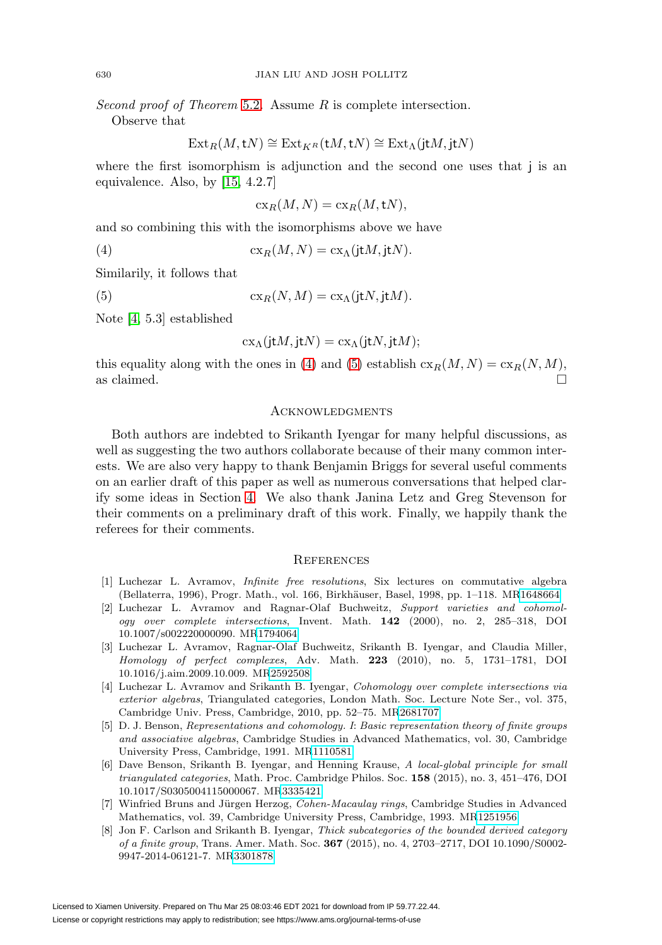Second proof of Theorem [5.2](#page-10-3). Assume R is complete intersection.

Observe that

$$
\operatorname{Ext}_R(M,{\mathbf t} N)\cong\operatorname{Ext}_{K^R}({\mathbf t} M,{\mathbf t} N)\cong\operatorname{Ext}_\Lambda({\mathbf j} {\mathbf t} M,{\mathbf j} {\mathbf t} N)
$$

where the first isomorphism is adjunction and the second one uses that j is an equivalence. Also, by [\[15,](#page-12-2) 4.2.7]

$$
\operatorname{cx}_R(M,N) = \operatorname{cx}_R(M,\mathsf{t}N),
$$

and so combining this with the isomorphisms above we have

<span id="page-11-8"></span>(4) 
$$
\operatorname{cx}_R(M,N) = \operatorname{cx}_\Lambda(\mathbf{j}tM,\mathbf{j}tN).
$$

Similarily, it follows that

<span id="page-11-9"></span>(5) 
$$
\operatorname{cx}_R(N,M) = \operatorname{cx}_\Lambda(\mathbf{j}tN,\mathbf{j}tM).
$$

Note [\[4,](#page-11-0) 5.3] established

$$
cx_{\Lambda}(j\mathsf{t} M,j\mathsf{t} N)=cx_{\Lambda}(j\mathsf{t} N,j\mathsf{t} M);
$$

this equality along with the ones in [\(4\)](#page-11-8) and [\(5\)](#page-11-9) establish  $c_{R}(M,N) = c_{R}(N,M)$ , as claimed.  $\hfill \square$ 

# **ACKNOWLEDGMENTS**

Both authors are indebted to Srikanth Iyengar for many helpful discussions, as well as suggesting the two authors collaborate because of their many common interests. We are also very happy to thank Benjamin Briggs for several useful comments on an earlier draft of this paper as well as numerous conversations that helped clarify some ideas in Section [4.](#page-7-2) We also thank Janina Letz and Greg Stevenson for their comments on a preliminary draft of this work. Finally, we happily thank the referees for their comments.

### **REFERENCES**

- <span id="page-11-6"></span>[1] Luchezar L. Avramov, Infinite free resolutions, Six lectures on commutative algebra (Bellaterra, 1996), Progr. Math., vol. 166, Birkhäuser, Basel, 1998, pp. 1–118. M[R1648664](https://www.ams.org/mathscinet-getitem?mr=1648664)
- <span id="page-11-3"></span>[2] Luchezar L. Avramov and Ragnar-Olaf Buchweitz, Support varieties and cohomology over complete intersections, Invent. Math. **142** (2000), no. 2, 285–318, DOI 10.1007/s002220000090. M[R1794064](https://www.ams.org/mathscinet-getitem?mr=1794064)
- <span id="page-11-1"></span>[3] Luchezar L. Avramov, Ragnar-Olaf Buchweitz, Srikanth B. Iyengar, and Claudia Miller, Homology of perfect complexes, Adv. Math. **223** (2010), no. 5, 1731–1781, DOI 10.1016/j.aim.2009.10.009. M[R2592508](https://www.ams.org/mathscinet-getitem?mr=2592508)
- <span id="page-11-0"></span>[4] Luchezar L. Avramov and Srikanth B. Iyengar, Cohomology over complete intersections via exterior algebras, Triangulated categories, London Math. Soc. Lecture Note Ser., vol. 375, Cambridge Univ. Press, Cambridge, 2010, pp. 52–75. M[R2681707](https://www.ams.org/mathscinet-getitem?mr=2681707)
- <span id="page-11-7"></span>[5] D. J. Benson, Representations and cohomology. I: Basic representation theory of finite groups and associative algebras, Cambridge Studies in Advanced Mathematics, vol. 30, Cambridge University Press, Cambridge, 1991. M[R1110581](https://www.ams.org/mathscinet-getitem?mr=1110581)
- <span id="page-11-5"></span>[6] Dave Benson, Srikanth B. Iyengar, and Henning Krause, A local-global principle for small triangulated categories, Math. Proc. Cambridge Philos. Soc. **158** (2015), no. 3, 451–476, DOI 10.1017/S0305004115000067. M[R3335421](https://www.ams.org/mathscinet-getitem?mr=3335421)
- <span id="page-11-4"></span>[7] Winfried Bruns and Jürgen Herzog, Cohen-Macaulay rings, Cambridge Studies in Advanced Mathematics, vol. 39, Cambridge University Press, Cambridge, 1993. M[R1251956](https://www.ams.org/mathscinet-getitem?mr=1251956)
- <span id="page-11-2"></span>[8] Jon F. Carlson and Srikanth B. Iyengar, Thick subcategories of the bounded derived category of a finite group, Trans. Amer. Math. Soc. **367** (2015), no. 4, 2703–2717, DOI 10.1090/S0002- 9947-2014-06121-7. M[R3301878](https://www.ams.org/mathscinet-getitem?mr=3301878)